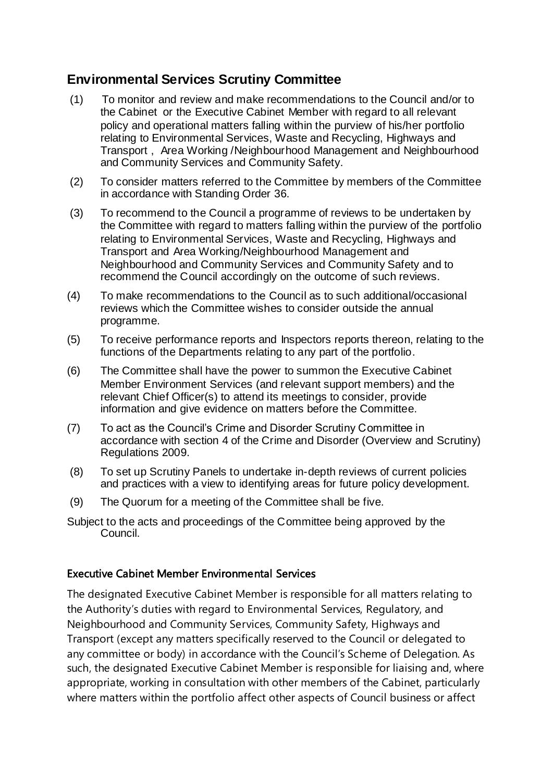# **Environmental Services Scrutiny Committee**

- (1) To monitor and review and make recommendations to the Council and/or to the Cabinet or the Executive Cabinet Member with regard to all relevant policy and operational matters falling within the purview of his/her portfolio relating to Environmental Services, Waste and Recycling, Highways and Transport , Area Working /Neighbourhood Management and Neighbourhood and Community Services and Community Safety.
- (2) To consider matters referred to the Committee by members of the Committee in accordance with Standing Order 36.
- (3) To recommend to the Council a programme of reviews to be undertaken by the Committee with regard to matters falling within the purview of the portfolio relating to Environmental Services, Waste and Recycling, Highways and Transport and Area Working/Neighbourhood Management and Neighbourhood and Community Services and Community Safety and to recommend the Council accordingly on the outcome of such reviews.
- (4) To make recommendations to the Council as to such additional/occasional reviews which the Committee wishes to consider outside the annual programme.
- (5) To receive performance reports and Inspectors reports thereon, relating to the functions of the Departments relating to any part of the portfolio.
- (6) The Committee shall have the power to summon the Executive Cabinet Member Environment Services (and relevant support members) and the relevant Chief Officer(s) to attend its meetings to consider, provide information and give evidence on matters before the Committee.
- (7) To act as the Council's Crime and Disorder Scrutiny Committee in accordance with section 4 of the Crime and Disorder (Overview and Scrutiny) Regulations 2009.
- (8) To set up Scrutiny Panels to undertake in-depth reviews of current policies and practices with a view to identifying areas for future policy development.
- (9) The Quorum for a meeting of the Committee shall be five.
- Subject to the acts and proceedings of the Committee being approved by the Council.

#### Executive Cabinet Member Environmental Services

The designated Executive Cabinet Member is responsible for all matters relating to the Authority's duties with regard to Environmental Services, Regulatory, and Neighbourhood and Community Services, Community Safety, Highways and Transport (except any matters specifically reserved to the Council or delegated to any committee or body) in accordance with the Council's Scheme of Delegation. As such, the designated Executive Cabinet Member is responsible for liaising and, where appropriate, working in consultation with other members of the Cabinet, particularly where matters within the portfolio affect other aspects of Council business or affect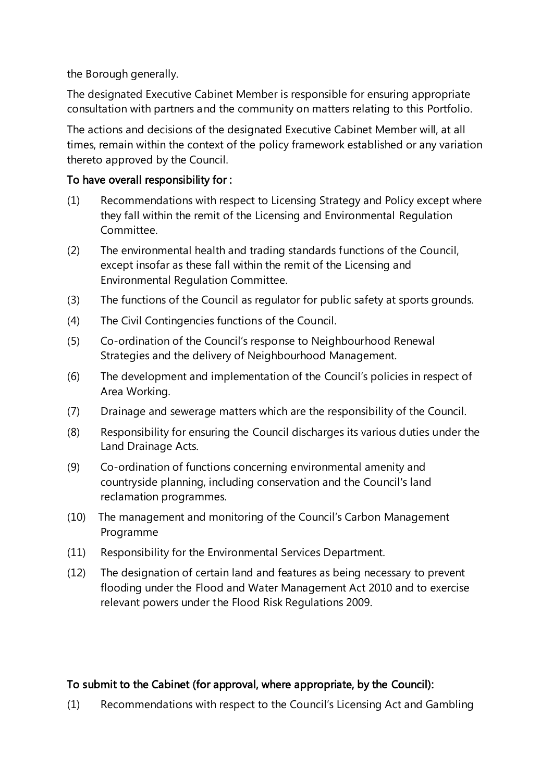the Borough generally.

The designated Executive Cabinet Member is responsible for ensuring appropriate consultation with partners and the community on matters relating to this Portfolio.

The actions and decisions of the designated Executive Cabinet Member will, at all times, remain within the context of the policy framework established or any variation thereto approved by the Council.

### To have overall responsibility for :

- (1) Recommendations with respect to Licensing Strategy and Policy except where they fall within the remit of the Licensing and Environmental Regulation Committee.
- (2) The environmental health and trading standards functions of the Council, except insofar as these fall within the remit of the Licensing and Environmental Regulation Committee.
- (3) The functions of the Council as regulator for public safety at sports grounds.
- (4) The Civil Contingencies functions of the Council.
- (5) Co-ordination of the Council's response to Neighbourhood Renewal Strategies and the delivery of Neighbourhood Management.
- (6) The development and implementation of the Council's policies in respect of Area Working.
- (7) Drainage and sewerage matters which are the responsibility of the Council.
- (8) Responsibility for ensuring the Council discharges its various duties under the Land Drainage Acts.
- (9) Co-ordination of functions concerning environmental amenity and countryside planning, including conservation and the Council's land reclamation programmes.
- (10) The management and monitoring of the Council's Carbon Management Programme
- (11) Responsibility for the Environmental Services Department.
- (12) The designation of certain land and features as being necessary to prevent flooding under the Flood and Water Management Act 2010 and to exercise relevant powers under the Flood Risk Regulations 2009.

### To submit to the Cabinet (for approval, where appropriate, by the Council):

(1) Recommendations with respect to the Council's Licensing Act and Gambling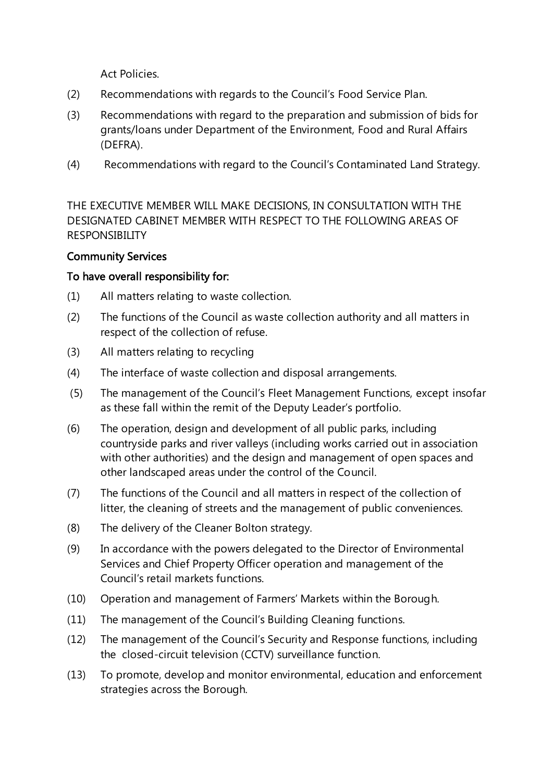Act Policies.

- (2) Recommendations with regards to the Council's Food Service Plan.
- (3) Recommendations with regard to the preparation and submission of bids for grants/loans under Department of the Environment, Food and Rural Affairs (DEFRA).
- (4) Recommendations with regard to the Council's Contaminated Land Strategy.

THE EXECUTIVE MEMBER WILL MAKE DECISIONS, IN CONSULTATION WITH THE DESIGNATED CABINET MEMBER WITH RESPECT TO THE FOLLOWING AREAS OF RESPONSIBILITY

### Community Services

### To have overall responsibility for:

- (1) All matters relating to waste collection.
- (2) The functions of the Council as waste collection authority and all matters in respect of the collection of refuse.
- (3) All matters relating to recycling
- (4) The interface of waste collection and disposal arrangements.
- (5) The management of the Council's Fleet Management Functions, except insofar as these fall within the remit of the Deputy Leader's portfolio.
- (6) The operation, design and development of all public parks, including countryside parks and river valleys (including works carried out in association with other authorities) and the design and management of open spaces and other landscaped areas under the control of the Council.
- (7) The functions of the Council and all matters in respect of the collection of litter, the cleaning of streets and the management of public conveniences.
- (8) The delivery of the Cleaner Bolton strategy.
- (9) In accordance with the powers delegated to the Director of Environmental Services and Chief Property Officer operation and management of the Council's retail markets functions.
- (10) Operation and management of Farmers' Markets within the Borough.
- (11) The management of the Council's Building Cleaning functions.
- (12) The management of the Council's Security and Response functions, including the closed-circuit television (CCTV) surveillance function.
- (13) To promote, develop and monitor environmental, education and enforcement strategies across the Borough.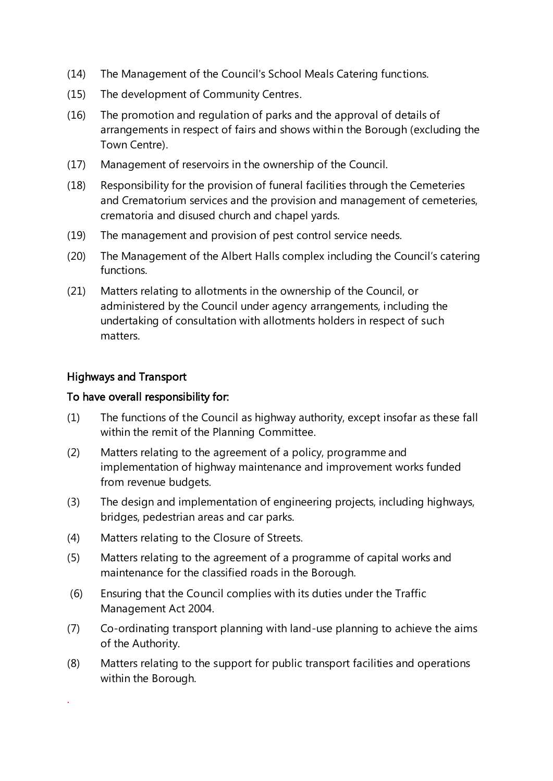- (14) The Management of the Council's School Meals Catering functions.
- (15) The development of Community Centres.
- (16) The promotion and regulation of parks and the approval of details of arrangements in respect of fairs and shows within the Borough (excluding the Town Centre).
- (17) Management of reservoirs in the ownership of the Council.
- (18) Responsibility for the provision of funeral facilities through the Cemeteries and Crematorium services and the provision and management of cemeteries, crematoria and disused church and chapel yards.
- (19) The management and provision of pest control service needs.
- (20) The Management of the Albert Halls complex including the Council's catering functions.
- (21) Matters relating to allotments in the ownership of the Council, or administered by the Council under agency arrangements, including the undertaking of consultation with allotments holders in respect of such matters.

#### Highways and Transport

.

#### To have overall responsibility for:

- (1) The functions of the Council as highway authority, except insofar as these fall within the remit of the Planning Committee.
- (2) Matters relating to the agreement of a policy, programme and implementation of highway maintenance and improvement works funded from revenue budgets.
- (3) The design and implementation of engineering projects, including highways, bridges, pedestrian areas and car parks.
- (4) Matters relating to the Closure of Streets.
- (5) Matters relating to the agreement of a programme of capital works and maintenance for the classified roads in the Borough.
- (6) Ensuring that the Council complies with its duties under the Traffic Management Act 2004.
- (7) Co-ordinating transport planning with land-use planning to achieve the aims of the Authority.
- (8) Matters relating to the support for public transport facilities and operations within the Borough.